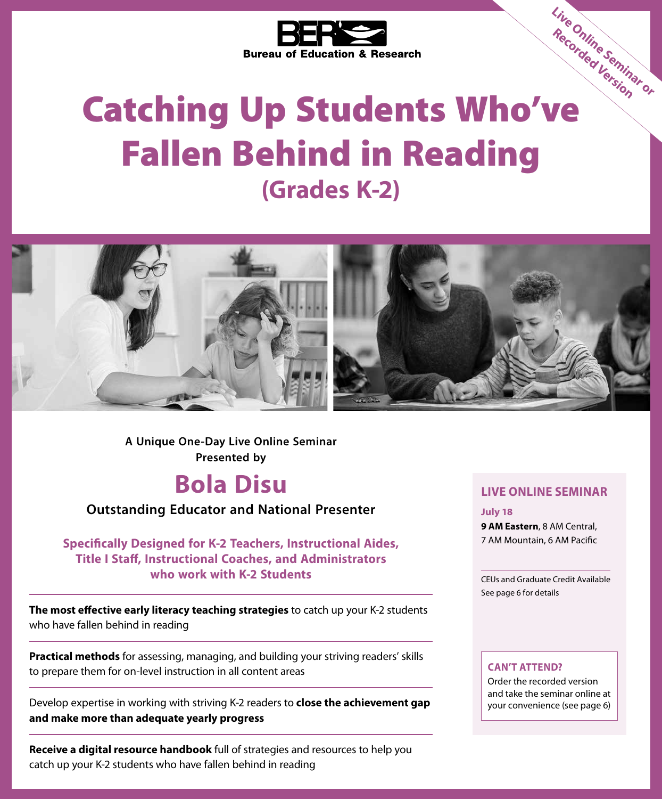

# Bureau of Education & Research.<br>
Catching Up Students Who've Fallen Behind in Reading **(Grades K-2) Live Online Seminar or Recorded Version**



**Presented by A Unique One-Day Live Online Seminar**

## **Bola Disu**

**Outstanding Educator and National Presenter**

**Specifically Designed for K-2 Teachers, Instructional Aides, Title I Staff, Instructional Coaches, and Administrators who work with K-2 Students**

**The most effective early literacy teaching strategies** to catch up your K-2 students who have fallen behind in reading

**Practical methods** for assessing, managing, and building your striving readers' skills to prepare them for on-level instruction in all content areas

Develop expertise in working with striving K-2 readers to **close the achievement gap and make more than adequate yearly progress**

**Receive a digital resource handbook** full of strategies and resources to help you catch up your K-2 students who have fallen behind in reading

### **LIVE ONLINE SEMINAR**

**July 18 9 AM Eastern**, 8 AM Central, 7 AM Mountain, 6 AM Pacific

CEUs and Graduate Credit Available See page 6 for details

#### **CAN'T ATTEND?**

Order the recorded version and take the seminar online at your convenience (see page 6)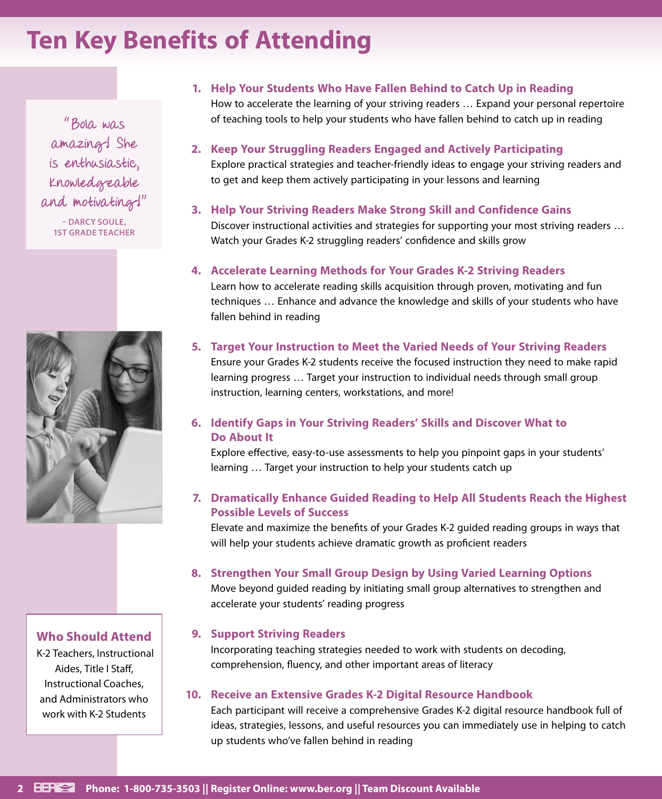# **Ten Key Benefits of Attending**

"Bola was amazing! She is enthusiastic, knowledgeable and motivating!" **– DARCY SOULE, 1ST GRADE TEACHER**



### **Who Should Attend**

 K-2 Teachers, Instructional Aides, Title I Staff, Instructional Coaches, and Administrators who work with K-2 Students

### **1. Help Your Students Who Have Fallen Behind to Catch Up in Reading**

How to accelerate the learning of your striving readers … Expand your personal repertoire of teaching tools to help your students who have fallen behind to catch up in reading

**2. Keep Your Struggling Readers Engaged and Actively Participating** Explore practical strategies and teacher-friendly ideas to engage your striving readers and to get and keep them actively participating in your lessons and learning

### **3. Help Your Striving Readers Make Strong Skill and Confidence Gains**

Discover instructional activities and strategies for supporting your most striving readers … Watch your Grades K-2 struggling readers' confidence and skills grow

#### **4. Accelerate Learning Methods for Your Grades K-2 Striving Readers**

Learn how to accelerate reading skills acquisition through proven, motivating and fun techniques … Enhance and advance the knowledge and skills of your students who have fallen behind in reading

#### **5. Target Your Instruction to Meet the Varied Needs of Your Striving Readers**

Ensure your Grades K-2 students receive the focused instruction they need to make rapid learning progress … Target your instruction to individual needs through small group instruction, learning centers, workstations, and more!

### **6. Identify Gaps in Your Striving Readers' Skills and Discover What to Do About It**

Explore effective, easy-to-use assessments to help you pinpoint gaps in your students' learning … Target your instruction to help your students catch up

### **7. Dramatically Enhance Guided Reading to Help All Students Reach the Highest Possible Levels of Success**

Elevate and maximize the benefits of your Grades K-2 guided reading groups in ways that will help your students achieve dramatic growth as proficient readers

#### **8. Strengthen Your Small Group Design by Using Varied Learning Options**

Move beyond guided reading by initiating small group alternatives to strengthen and accelerate your students' reading progress

### **9. Support Striving Readers**

Incorporating teaching strategies needed to work with students on decoding, comprehension, fluency, and other important areas of literacy

### **10. Receive an Extensive Grades K-2 Digital Resource Handbook**

Each participant will receive a comprehensive Grades K-2 digital resource handbook full of ideas, strategies, lessons, and useful resources you can immediately use in helping to catch up students who've fallen behind in reading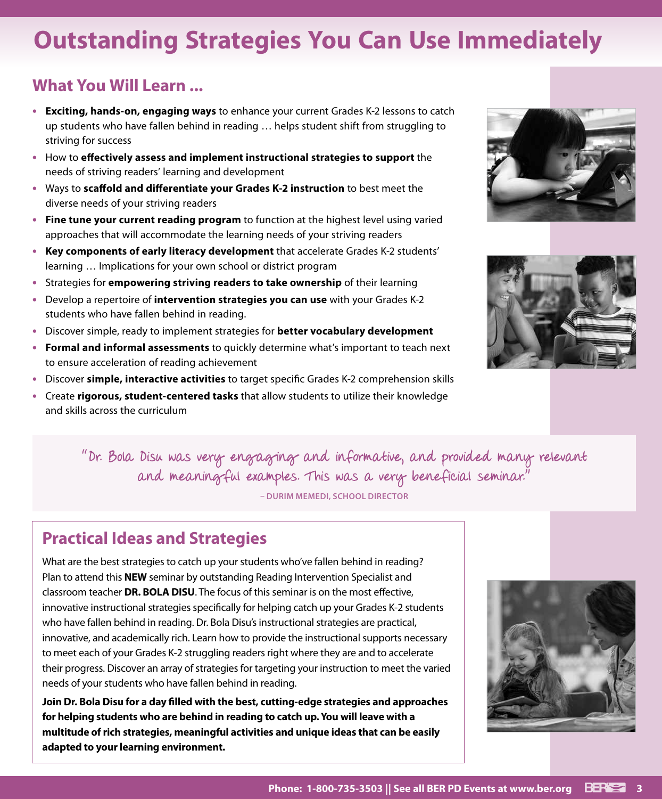# **Outstanding Strategies You Can Use Immediately**

### **What You Will Learn ...**

- **• Exciting, hands-on, engaging ways** to enhance your current Grades K-2 lessons to catch up students who have fallen behind in reading … helps student shift from struggling to striving for success
- **•** How to **effectively assess and implement instructional strategies to support** the needs of striving readers' learning and development
- **•** Ways to **scaffold and differentiate your Grades K-2 instruction** to best meet the diverse needs of your striving readers
- **• Fine tune your current reading program** to function at the highest level using varied approaches that will accommodate the learning needs of your striving readers
- **• Key components of early literacy development** that accelerate Grades K-2 students' learning … Implications for your own school or district program
- **•** Strategies for **empowering striving readers to take ownership** of their learning
- **•** Develop a repertoire of **intervention strategies you can use** with your Grades K-2 students who have fallen behind in reading.
- **•** Discover simple, ready to implement strategies for **better vocabulary development**
- **• Formal and informal assessments** to quickly determine what's important to teach next to ensure acceleration of reading achievement
- **•** Discover **simple, interactive activities** to target specific Grades K-2 comprehension skills
- **•** Create **rigorous, student-centered tasks** that allow students to utilize their knowledge and skills across the curriculum





"Dr. Bola Disu was very engaging and informative, and provided many relevant and meaningful examples. This was a very beneficial seminar." **– DURIM MEMEDI, SCHOOL DIRECTOR**

### **Practical Ideas and Strategies**

What are the best strategies to catch up your students who've fallen behind in reading? Plan to attend this **NEW** seminar by outstanding Reading Intervention Specialist and classroom teacher **DR. BOLA DISU**. The focus of this seminar is on the most effective, innovative instructional strategies specifically for helping catch up your Grades K-2 students who have fallen behind in reading. Dr. Bola Disu's instructional strategies are practical, innovative, and academically rich. Learn how to provide the instructional supports necessary to meet each of your Grades K-2 struggling readers right where they are and to accelerate their progress. Discover an array of strategies for targeting your instruction to meet the varied needs of your students who have fallen behind in reading.

**Join Dr. Bola Disu for a day filled with the best, cutting-edge strategies and approaches for helping students who are behind in reading to catch up. You will leave with a multitude of rich strategies, meaningful activities and unique ideas that can be easily adapted to your learning environment.**

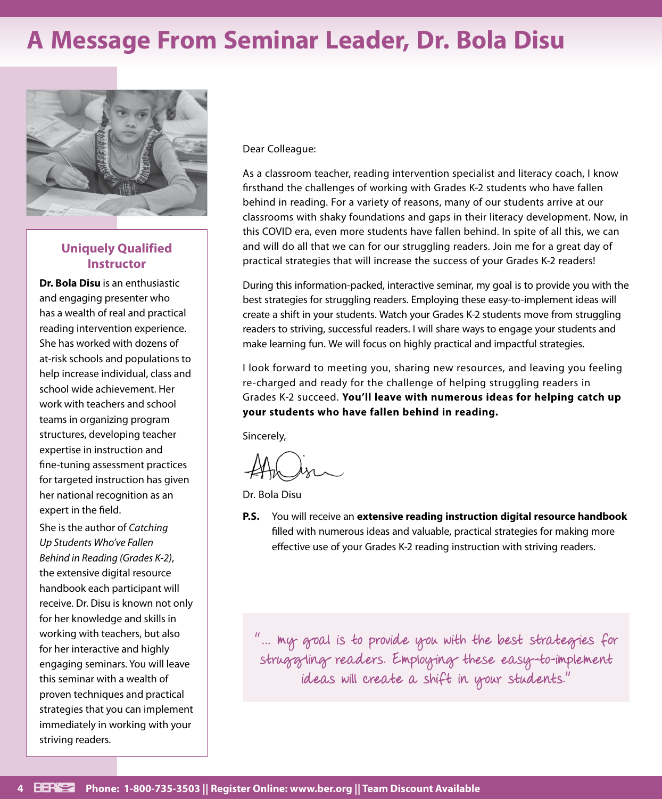# **A Message From Seminar Leader, Dr. Bola Disu**



### **Uniquely Qualified Instructor**

**Dr. Bola Disu** is an enthusiastic and engaging presenter who has a wealth of real and practical reading intervention experience. She has worked with dozens of at-risk schools and populations to help increase individual, class and school wide achievement. Her work with teachers and school teams in organizing program structures, developing teacher expertise in instruction and fine-tuning assessment practices for targeted instruction has given her national recognition as an expert in the field.

She is the author of *Catching Up Students Who've Fallen Behind in Reading (Grades K-2)*, the extensive digital resource handbook each participant will receive. Dr. Disu is known not only for her knowledge and skills in working with teachers, but also for her interactive and highly engaging seminars. You will leave this seminar with a wealth of proven techniques and practical strategies that you can implement immediately in working with your striving readers.

Dear Colleague:

As a classroom teacher, reading intervention specialist and literacy coach, I know firsthand the challenges of working with Grades K-2 students who have fallen behind in reading. For a variety of reasons, many of our students arrive at our classrooms with shaky foundations and gaps in their literacy development. Now, in this COVID era, even more students have fallen behind. In spite of all this, we can and will do all that we can for our struggling readers. Join me for a great day of practical strategies that will increase the success of your Grades K-2 readers!

During this information-packed, interactive seminar, my goal is to provide you with the best strategies for struggling readers. Employing these easy-to-implement ideas will create a shift in your students. Watch your Grades K-2 students move from struggling readers to striving, successful readers. I will share ways to engage your students and make learning fun. We will focus on highly practical and impactful strategies.

I look forward to meeting you, sharing new resources, and leaving you feeling re-charged and ready for the challenge of helping struggling readers in Grades K-2 succeed. **You'll leave with numerous ideas for helping catch up your students who have fallen behind in reading.**

Sincerely,

Dr. Bola Disu

**P.S.** You will receive an **extensive reading instruction digital resource handbook** filled with numerous ideas and valuable, practical strategies for making more effective use of your Grades K-2 reading instruction with striving readers.

"… my goal is to provide you with the best strategies for struggling readers. Employing these easy-to-implement ideas will create a shift in your students."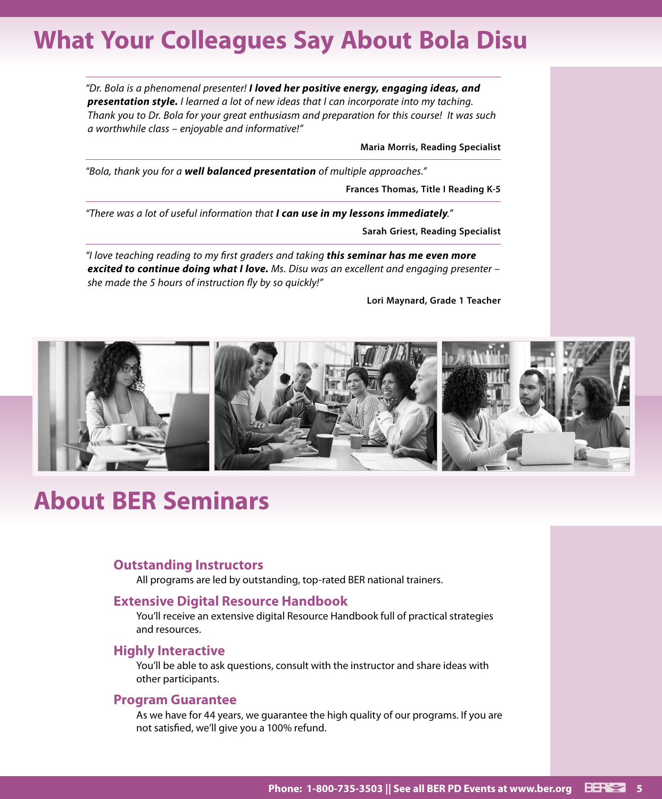# **What Your Colleagues Say About Bola Disu**

*"Dr. Bola is a phenomenal presenter! I loved her positive energy, engaging ideas, and presentation style. I learned a lot of new ideas that I can incorporate into my taching. Thank you to Dr. Bola for your great enthusiasm and preparation for this course! It was such a worthwhile class – enjoyable and informative!"*

**Maria Morris, Reading Specialist**

*"Bola, thank you for a well balanced presentation of multiple approaches."*

**Frances Thomas, Title I Reading K-5**

*"There was a lot of useful information that I can use in my lessons immediately."*

**Sarah Griest, Reading Specialist**

*"I love teaching reading to my first graders and taking this seminar has me even more excited to continue doing what I love. Ms. Disu was an excellent and engaging presenter – she made the 5 hours of instruction fly by so quickly!"*

**Lori Maynard, Grade 1 Teacher**



## **About BER Seminars**

#### **Outstanding Instructors**

All programs are led by outstanding, top-rated BER national trainers.

#### **Extensive Digital Resource Handbook**

You'll receive an extensive digital Resource Handbook full of practical strategies and resources.

#### **Highly Interactive**

You'll be able to ask questions, consult with the instructor and share ideas with other participants.

#### **Program Guarantee**

As we have for 44 years, we guarantee the high quality of our programs. If you are not satisfied, we'll give you a 100% refund.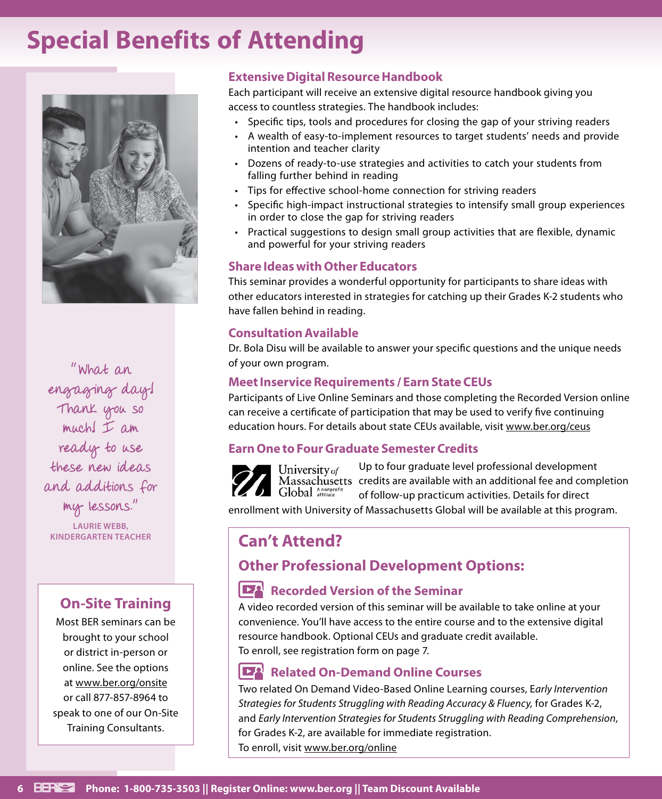# **Special Benefits of Attending**



of your own program. "What an engaging day! Thank you so much! I am ready to use these new ideas and additions for my lessons."

**LAURIE WEBB,** 

### **On-Site Training**

Most BER seminars can be brought to your school or district in-person or online. See the options at www.ber.org/onsite or call 877-857-8964 to speak to one of our On-Site Training Consultants.

### **Extensive Digital Resource Handbook**

Each participant will receive an extensive digital resource handbook giving you access to countless strategies. The handbook includes:

- Specific tips, tools and procedures for closing the gap of your striving readers
- A wealth of easy-to-implement resources to target students' needs and provide intention and teacher clarity
- Dozens of ready-to-use strategies and activities to catch your students from falling further behind in reading
- Tips for effective school-home connection for striving readers
- Specific high-impact instructional strategies to intensify small group experiences in order to close the gap for striving readers
- Practical suggestions to design small group activities that are flexible, dynamic and powerful for your striving readers

### **Share Ideas with Other Educators**

This seminar provides a wonderful opportunity for participants to share ideas with other educators interested in strategies for catching up their Grades K-2 students who have fallen behind in reading.

### **Consultation Available**

Dr. Bola Disu will be available to answer your specific questions and the unique needs

### **Meet Inservice Requirements / Earn State CEUs**

Participants of Live Online Seminars and those completing the Recorded Version online can receive a certificate of participation that may be used to verify five continuing education hours. For details about state CEUs available, visit www.ber.org/ceus

### **Earn One to Four Graduate Semester Credits**



Up to four graduate level professional development University of Massachusetts credits are available with an additional fee and completion Global Anonprofit of follow-up practicum activities. Details for direct

enrollment with University of Massachusetts Global will be available at this program.

### **KINDERGARTEN TEACHER Can't Attend?**

### **Other Professional Development Options:**

### **Recorded Version of the Seminar**

A video recorded version of this seminar will be available to take online at your convenience. You'll have access to the entire course and to the extensive digital resource handbook. Optional CEUs and graduate credit available. To enroll, see registration form on page 7.

### **Related On-Demand Online Courses**

Two related On Demand Video-Based Online Learning courses, E*arly Intervention Strategies for Students Struggling with Reading Accuracy & Fluency,* for Grades K-2, and *Early Intervention Strategies for Students Struggling with Reading Comprehension*, for Grades K-2, are available for immediate registration. To enroll, visit www.ber.org/online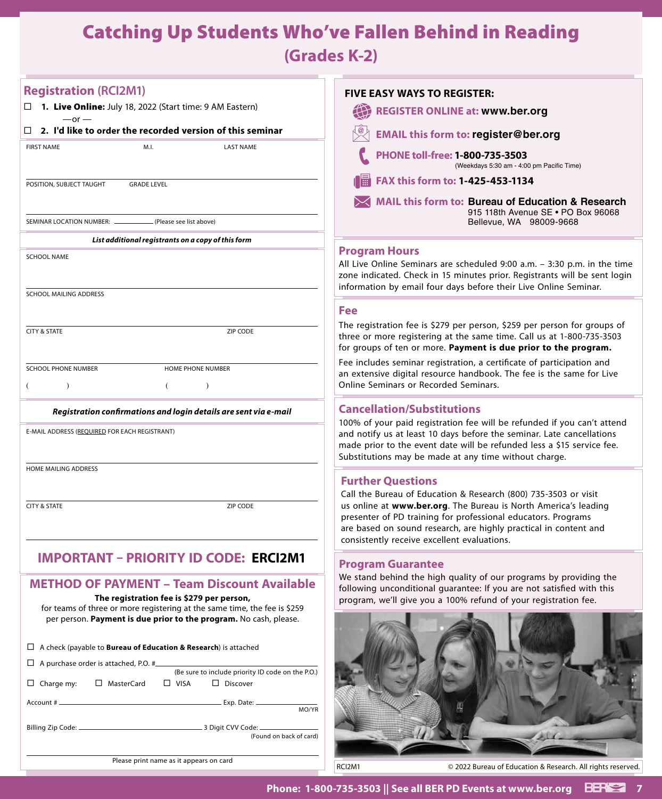# Catching Up Students Who've Fallen Behind in Reading

**(Grades K-2)**

| <b>Registration (RCI2M1)</b>                                                                                                                                                                | <b>FIVE EASY WAYS TO REGISTER:</b>                                                                                                                                                                                                                                                                                     |
|---------------------------------------------------------------------------------------------------------------------------------------------------------------------------------------------|------------------------------------------------------------------------------------------------------------------------------------------------------------------------------------------------------------------------------------------------------------------------------------------------------------------------|
| $\Box$ 1. Live Online: July 18, 2022 (Start time: 9 AM Eastern)<br>$-$ or $-$                                                                                                               | <b>REGISTER ONLINE at: www.ber.org</b>                                                                                                                                                                                                                                                                                 |
| $\Box$ 2. I'd like to order the recorded version of this seminar                                                                                                                            | <b>EMAIL this form to: register@ber.org</b>                                                                                                                                                                                                                                                                            |
| <b>FIRST NAME</b><br>M.I.<br><b>LAST NAME</b>                                                                                                                                               | PHONE toll-free: 1-800-735-3503<br>(Weekdays 5:30 am - 4:00 pm Pacific Time)                                                                                                                                                                                                                                           |
| <b>GRADE LEVEL</b><br>POSITION, SUBJECT TAUGHT                                                                                                                                              | FAX this form to: 1-425-453-1134                                                                                                                                                                                                                                                                                       |
|                                                                                                                                                                                             | <b>MAIL this form to: Bureau of Education &amp; Research</b><br>915 118th Avenue SE . PO Box 96068                                                                                                                                                                                                                     |
| SEMINAR LOCATION NUMBER: _<br>(Please see list above)                                                                                                                                       | Bellevue, WA 98009-9668                                                                                                                                                                                                                                                                                                |
| List additional registrants on a copy of this form                                                                                                                                          | <b>Program Hours</b>                                                                                                                                                                                                                                                                                                   |
| <b>SCHOOL NAME</b>                                                                                                                                                                          | All Live Online Seminars are scheduled 9:00 a.m. - 3:30 p.m. in the time<br>zone indicated. Check in 15 minutes prior. Registrants will be sent login<br>information by email four days before their Live Online Seminar.                                                                                              |
| SCHOOL MAILING ADDRESS                                                                                                                                                                      |                                                                                                                                                                                                                                                                                                                        |
|                                                                                                                                                                                             | <b>Fee</b><br>The registration fee is \$279 per person, \$259 per person for groups of                                                                                                                                                                                                                                 |
| <b>CITY &amp; STATE</b><br>ZIP CODE                                                                                                                                                         | three or more registering at the same time. Call us at 1-800-735-3503<br>for groups of ten or more. Payment is due prior to the program.                                                                                                                                                                               |
| <b>SCHOOL PHONE NUMBER</b><br>HOME PHONE NUMBER                                                                                                                                             | Fee includes seminar registration, a certificate of participation and                                                                                                                                                                                                                                                  |
| $\lambda$<br>€<br>$\lambda$                                                                                                                                                                 | an extensive digital resource handbook. The fee is the same for Live<br>Online Seminars or Recorded Seminars.                                                                                                                                                                                                          |
| Registration confirmations and login details are sent via e-mail                                                                                                                            | <b>Cancellation/Substitutions</b>                                                                                                                                                                                                                                                                                      |
| E-MAIL ADDRESS (REQUIRED FOR EACH REGISTRANT)                                                                                                                                               | 100% of your paid registration fee will be refunded if you can't attend<br>and notify us at least 10 days before the seminar. Late cancellations<br>made prior to the event date will be refunded less a \$15 service fee.<br>Substitutions may be made at any time without charge.                                    |
| HOME MAILING ADDRESS                                                                                                                                                                        | <b>Further Questions</b>                                                                                                                                                                                                                                                                                               |
| <b>CITY &amp; STATE</b><br>ZIP CODE                                                                                                                                                         | Call the Bureau of Education & Research (800) 735-3503 or visit<br>us online at www.ber.org. The Bureau is North America's leading<br>presenter of PD training for professional educators. Programs<br>are based on sound research, are highly practical in content and<br>consistently receive excellent evaluations. |
| <b>IMPORTANT - PRIORITY ID CODE: ERCI2M1</b>                                                                                                                                                | <b>Program Guarantee</b>                                                                                                                                                                                                                                                                                               |
| <b>METHOD OF PAYMENT - Team Discount Available</b>                                                                                                                                          | We stand behind the high quality of our programs by providing the<br>following unconditional guarantee: If you are not satisfied with this                                                                                                                                                                             |
| The registration fee is \$279 per person,<br>for teams of three or more registering at the same time, the fee is \$259<br>per person. Payment is due prior to the program. No cash, please. | program, we'll give you a 100% refund of your registration fee.                                                                                                                                                                                                                                                        |
| $\Box$ A check (payable to <b>Bureau of Education &amp; Research</b> ) is attached                                                                                                          |                                                                                                                                                                                                                                                                                                                        |
| $\Box$ A purchase order is attached, P.O. #                                                                                                                                                 |                                                                                                                                                                                                                                                                                                                        |
| (Be sure to include priority ID code on the P.O.)<br>$\Box$ Charge my:<br>□ MasterCard<br>$\Box$ VISA<br>$\Box$ Discover                                                                    |                                                                                                                                                                                                                                                                                                                        |
| MO/YR                                                                                                                                                                                       |                                                                                                                                                                                                                                                                                                                        |
| (Found on back of card)                                                                                                                                                                     |                                                                                                                                                                                                                                                                                                                        |
| Please print name as it appears on card                                                                                                                                                     | RCI2M1<br>© 2022 Bureau of Education & Research. All rights reserved.                                                                                                                                                                                                                                                  |
|                                                                                                                                                                                             |                                                                                                                                                                                                                                                                                                                        |